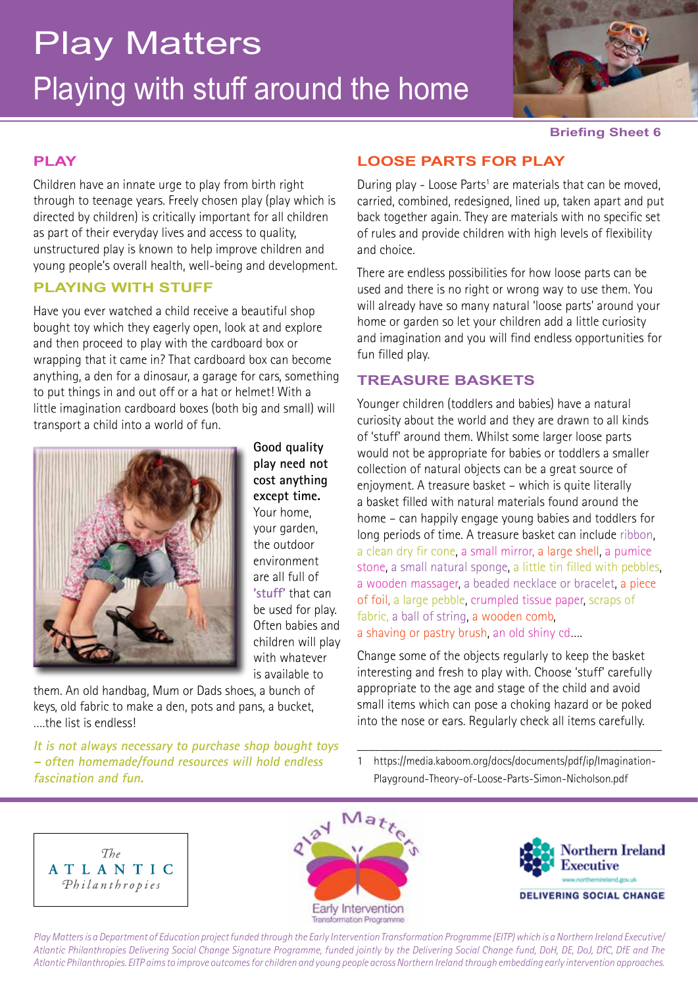# Playing with stuff around the home Play Matters



#### **Briefing Sheet 6**

### **PLAY**

Children have an innate urge to play from birth right through to teenage years. Freely chosen play (play which is directed by children) is critically important for all children as part of their everyday lives and access to quality, unstructured play is known to help improve children and young people's overall health, well-being and development.

# **PLAYING WITH STUFF**

Have you ever watched a child receive a beautiful shop bought toy which they eagerly open, look at and explore and then proceed to play with the cardboard box or wrapping that it came in? That cardboard box can become anything, a den for a dinosaur, a garage for cars, something to put things in and out off or a hat or helmet! With a little imagination cardboard boxes (both big and small) will transport a child into a world of fun.



**Good quality play need not cost anything except time.**  Your home, your garden, the outdoor environment are all full of **'stuff'** that can be used for play. Often babies and children will play with whatever is available to

them. An old handbag, Mum or Dads shoes, a bunch of keys, old fabric to make a den, pots and pans, a bucket, ….the list is endless!

**It is not always necessary to purchase shop bought toys – often homemade/found resources will hold endless fascination and fun.** 

## **LOOSE PARTS FOR PLAY**

During play - Loose Parts<sup>1</sup> are materials that can be moved, carried, combined, redesigned, lined up, taken apart and put back together again. They are materials with no specific set of rules and provide children with high levels of flexibility and choice.

There are endless possibilities for how loose parts can be used and there is no right or wrong way to use them. You will already have so many natural 'loose parts' around your home or garden so let your children add a little curiosity and imagination and you will find endless opportunities for fun filled play.

#### **TREASURE BASKETS**

Younger children (toddlers and babies) have a natural curiosity about the world and they are drawn to all kinds of 'stuff' around them. Whilst some larger loose parts would not be appropriate for babies or toddlers a smaller collection of natural objects can be a great source of enjoyment. A treasure basket – which is quite literally a basket filled with natural materials found around the home – can happily engage young babies and toddlers for long periods of time. A treasure basket can include ribbon, a clean dry fir cone, a small mirror, a large shell, a pumice stone, a small natural sponge, a little tin filled with pebbles, a wooden massager, a beaded necklace or bracelet, a piece of foil, a large pebble, crumpled tissue paper, scraps of fabric, a ball of string, a wooden comb, a shaving or pastry brush, an old shiny cd….

Change some of the objects regularly to keep the basket interesting and fresh to play with. Choose 'stuff' carefully appropriate to the age and stage of the child and avoid small items which can pose a choking hazard or be poked into the nose or ears. Regularly check all items carefully.

1 https://media.kaboom.org/docs/documents/pdf/ip/Imagination-Playground-Theory-of-Loose-Parts-Simon-Nicholson.pdf

\_\_\_\_\_\_\_\_\_\_\_\_\_\_\_\_\_\_\_\_\_\_\_\_\_\_\_\_\_\_\_\_\_\_\_\_\_\_\_\_\_\_\_\_\_\_\_\_\_\_\_\_







*Play Matters is a Department of Education project funded through the Early Intervention Transformation Programme (EITP) which is a Northern Ireland Executive/ Atlantic Philanthropies Delivering Social Change Signature Programme, funded jointly by the Delivering Social Change fund, DoH, DE, DoJ, DfC, DfE and The Atlantic Philanthropies. EITP aims to improve outcomes for children and young people across Northern Ireland through embedding early intervention approaches.*